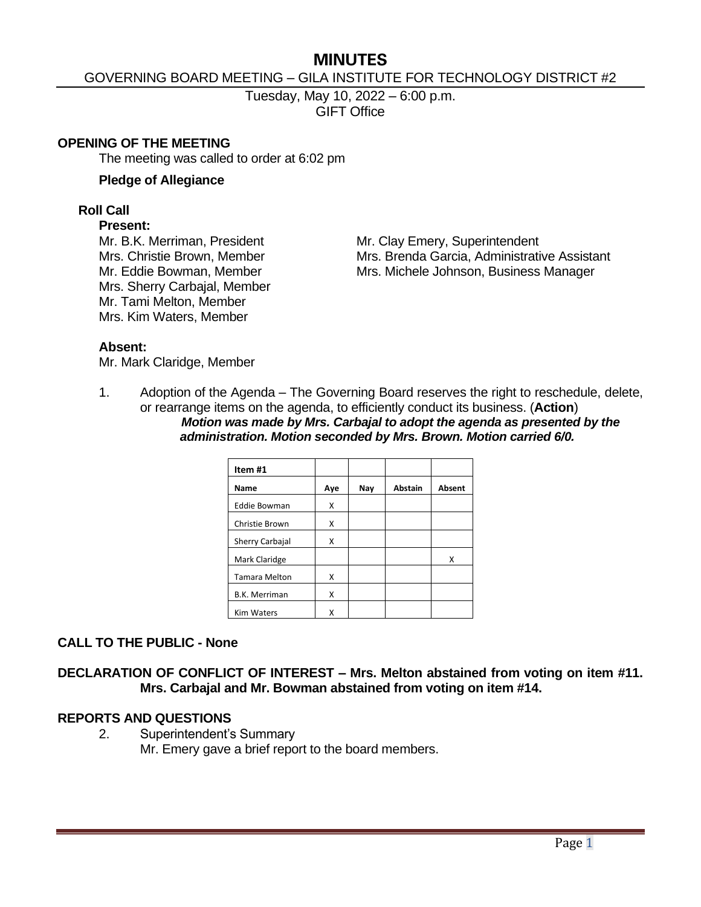# **MINUTES**

## GOVERNING BOARD MEETING – GILA INSTITUTE FOR TECHNOLOGY DISTRICT #2

Tuesday, May 10, 2022 – 6:00 p.m. GIFT Office

#### **OPENING OF THE MEETING**

The meeting was called to order at 6:02 pm

#### **Pledge of Allegiance**

### **Roll Call**

#### **Present:**

Mrs. Sherry Carbajal, Member Mr. Tami Melton, Member Mrs. Kim Waters, Member

Mr. B.K. Merriman, President Mr. Clay Emery, Superintendent Mrs. Christie Brown, Member Mrs. Brenda Garcia, Administrative Assistant Mr. Eddie Bowman, Member Mrs. Michele Johnson, Business Manager

### **Absent:**

Mr. Mark Claridge, Member

1. Adoption of the Agenda – The Governing Board reserves the right to reschedule, delete, or rearrange items on the agenda, to efficiently conduct its business. (**Action**) *Motion was made by Mrs. Carbajal to adopt the agenda as presented by the administration. Motion seconded by Mrs. Brown. Motion carried 6/0.*

| Item#1               |     |     |                |               |
|----------------------|-----|-----|----------------|---------------|
| <b>Name</b>          | Aye | Nay | <b>Abstain</b> | <b>Absent</b> |
| <b>Eddie Bowman</b>  | x   |     |                |               |
| Christie Brown       | x   |     |                |               |
| Sherry Carbajal      | x   |     |                |               |
| Mark Claridge        |     |     |                | x             |
| <b>Tamara Melton</b> | x   |     |                |               |
| <b>B.K. Merriman</b> | x   |     |                |               |
| <b>Kim Waters</b>    | x   |     |                |               |

# **CALL TO THE PUBLIC - None**

**DECLARATION OF CONFLICT OF INTEREST – Mrs. Melton abstained from voting on item #11. Mrs. Carbajal and Mr. Bowman abstained from voting on item #14.**

### **REPORTS AND QUESTIONS**

2. Superintendent's Summary Mr. Emery gave a brief report to the board members.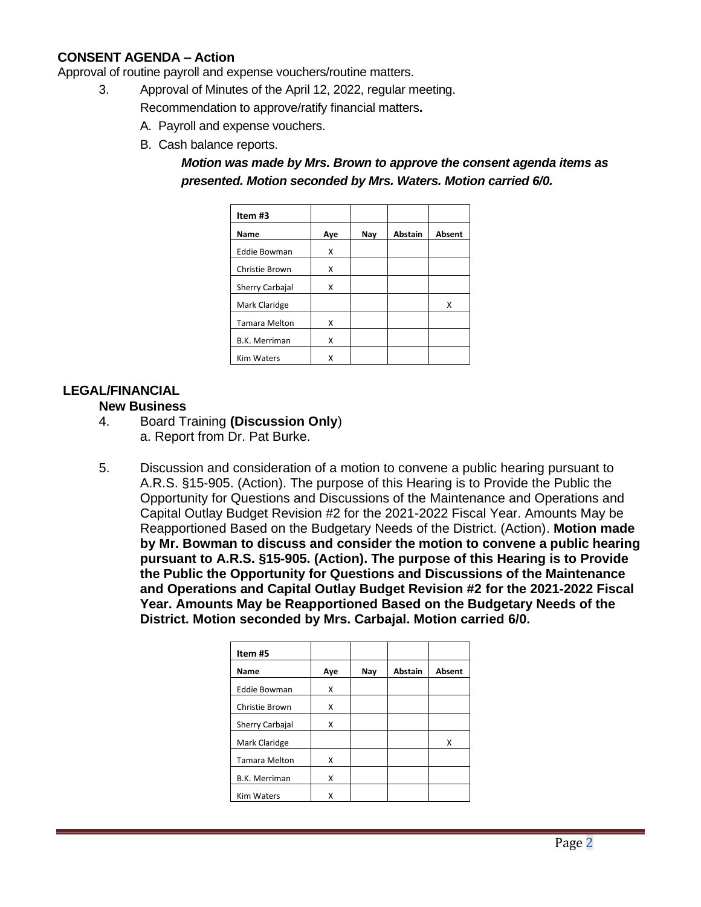# **CONSENT AGENDA – Action**

Approval of routine payroll and expense vouchers/routine matters.

- 3. Approval of Minutes of the April 12, 2022, regular meeting.
	- Recommendation to approve/ratify financial matters**.**
		- A. Payroll and expense vouchers.
		- B. Cash balance reports.

*Motion was made by Mrs. Brown to approve the consent agenda items as presented. Motion seconded by Mrs. Waters. Motion carried 6/0.*

| Item#3               |     |     |         |               |
|----------------------|-----|-----|---------|---------------|
| Name                 | Aye | Nay | Abstain | <b>Absent</b> |
| <b>Eddie Bowman</b>  | Χ   |     |         |               |
| Christie Brown       | x   |     |         |               |
| Sherry Carbajal      | x   |     |         |               |
| Mark Claridge        |     |     |         | x             |
| <b>Tamara Melton</b> | x   |     |         |               |
| <b>B.K. Merriman</b> | Χ   |     |         |               |
| <b>Kim Waters</b>    | x   |     |         |               |

# **LEGAL/FINANCIAL**

#### **New Business**

- 4. Board Training **(Discussion Only**) a. Report from Dr. Pat Burke.
- 5. Discussion and consideration of a motion to convene a public hearing pursuant to A.R.S. §15-905. (Action). The purpose of this Hearing is to Provide the Public the Opportunity for Questions and Discussions of the Maintenance and Operations and Capital Outlay Budget Revision #2 for the 2021-2022 Fiscal Year. Amounts May be Reapportioned Based on the Budgetary Needs of the District. (Action). **Motion made by Mr. Bowman to discuss and consider the motion to convene a public hearing pursuant to A.R.S. §15-905. (Action). The purpose of this Hearing is to Provide the Public the Opportunity for Questions and Discussions of the Maintenance and Operations and Capital Outlay Budget Revision #2 for the 2021-2022 Fiscal Year. Amounts May be Reapportioned Based on the Budgetary Needs of the District. Motion seconded by Mrs. Carbajal. Motion carried 6/0.**

| Item#5               |     |     |                |        |
|----------------------|-----|-----|----------------|--------|
| Name                 | Aye | Nay | <b>Abstain</b> | Absent |
| <b>Eddie Bowman</b>  | x   |     |                |        |
| Christie Brown       | x   |     |                |        |
| Sherry Carbajal      | x   |     |                |        |
| Mark Claridge        |     |     |                | x      |
| <b>Tamara Melton</b> | x   |     |                |        |
| <b>B.K. Merriman</b> | x   |     |                |        |
| <b>Kim Waters</b>    | χ   |     |                |        |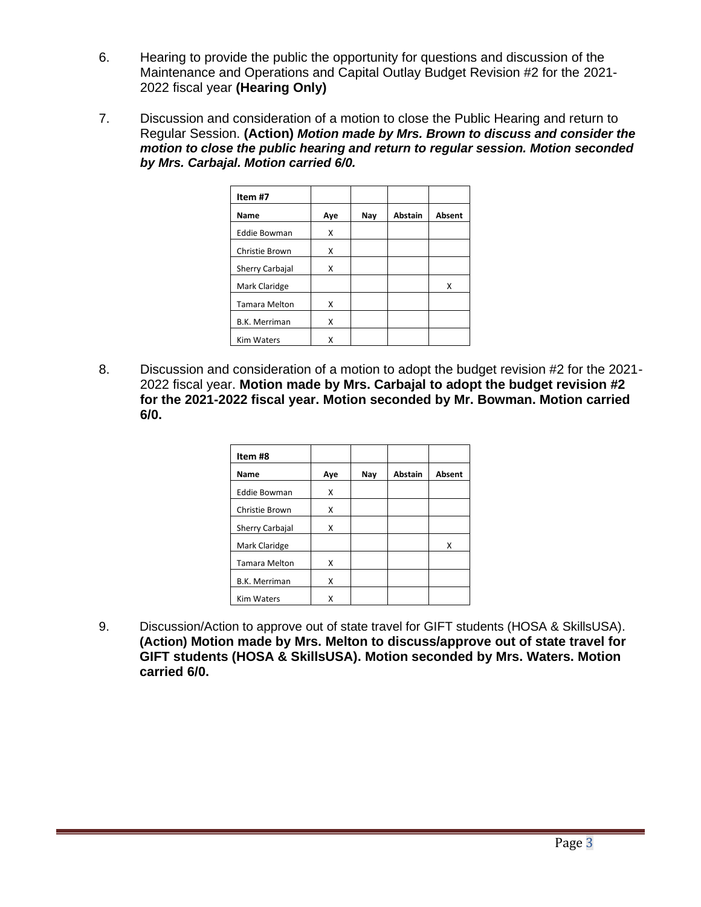- 6. Hearing to provide the public the opportunity for questions and discussion of the Maintenance and Operations and Capital Outlay Budget Revision #2 for the 2021- 2022 fiscal year **(Hearing Only)**
- 7. Discussion and consideration of a motion to close the Public Hearing and return to Regular Session. **(Action)** *Motion made by Mrs. Brown to discuss and consider the motion to close the public hearing and return to regular session. Motion seconded by Mrs. Carbajal. Motion carried 6/0.*

| Item #7              |     |     |                |               |
|----------------------|-----|-----|----------------|---------------|
| Name                 | Aye | Nay | <b>Abstain</b> | <b>Absent</b> |
| <b>Eddie Bowman</b>  | x   |     |                |               |
| Christie Brown       | x   |     |                |               |
| Sherry Carbajal      | x   |     |                |               |
| Mark Claridge        |     |     |                | x             |
| <b>Tamara Melton</b> | X   |     |                |               |
| <b>B.K. Merriman</b> | x   |     |                |               |
| <b>Kim Waters</b>    | x   |     |                |               |

8. Discussion and consideration of a motion to adopt the budget revision #2 for the 2021- 2022 fiscal year. **Motion made by Mrs. Carbajal to adopt the budget revision #2 for the 2021-2022 fiscal year. Motion seconded by Mr. Bowman. Motion carried 6/0.** 

| Item#8               |     |     |                |        |
|----------------------|-----|-----|----------------|--------|
| Name                 | Aye | Nay | <b>Abstain</b> | Absent |
| <b>Eddie Bowman</b>  | x   |     |                |        |
| Christie Brown       | x   |     |                |        |
| Sherry Carbajal      | x   |     |                |        |
| Mark Claridge        |     |     |                | x      |
| <b>Tamara Melton</b> | x   |     |                |        |
| <b>B.K. Merriman</b> | x   |     |                |        |
| <b>Kim Waters</b>    | Χ   |     |                |        |

9. Discussion/Action to approve out of state travel for GIFT students (HOSA & SkillsUSA). **(Action) Motion made by Mrs. Melton to discuss/approve out of state travel for GIFT students (HOSA & SkillsUSA). Motion seconded by Mrs. Waters. Motion carried 6/0.**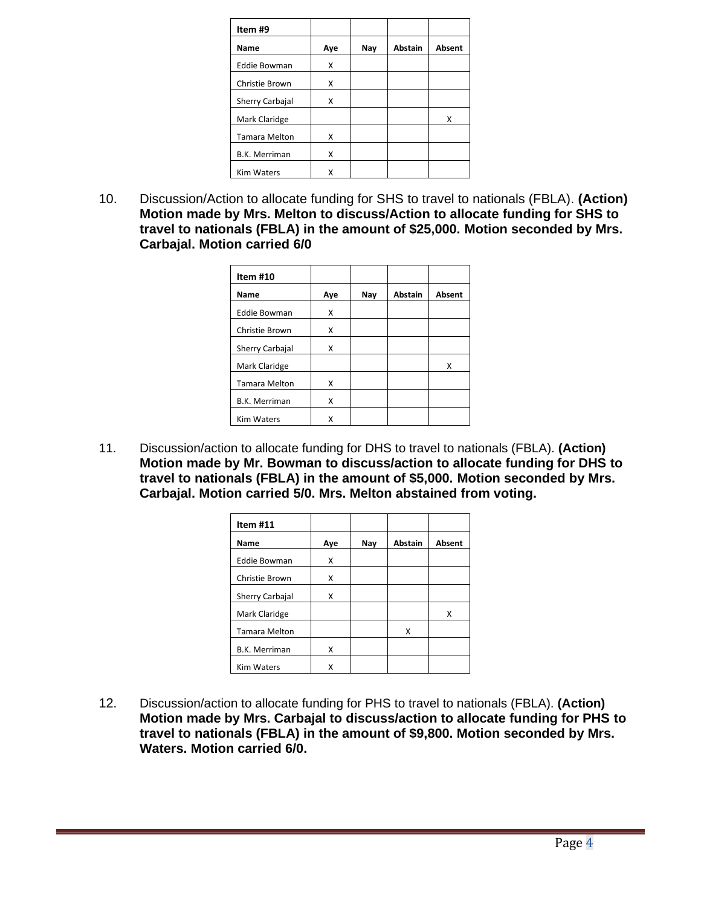| Item #9              |     |     |                |               |
|----------------------|-----|-----|----------------|---------------|
| Name                 | Aye | Nay | <b>Abstain</b> | <b>Absent</b> |
| <b>Eddie Bowman</b>  | x   |     |                |               |
| Christie Brown       | x   |     |                |               |
| Sherry Carbajal      | X   |     |                |               |
| Mark Claridge        |     |     |                | x             |
| <b>Tamara Melton</b> | Χ   |     |                |               |
| <b>B.K. Merriman</b> | X   |     |                |               |
| <b>Kim Waters</b>    | x   |     |                |               |

10. Discussion/Action to allocate funding for SHS to travel to nationals (FBLA). **(Action) Motion made by Mrs. Melton to discuss/Action to allocate funding for SHS to travel to nationals (FBLA) in the amount of \$25,000. Motion seconded by Mrs. Carbajal. Motion carried 6/0**

| Item #10             |     |     |                |        |
|----------------------|-----|-----|----------------|--------|
| Name                 | Aye | Nay | <b>Abstain</b> | Absent |
| <b>Eddie Bowman</b>  | x   |     |                |        |
| Christie Brown       | x   |     |                |        |
| Sherry Carbajal      | x   |     |                |        |
| Mark Claridge        |     |     |                | x      |
| <b>Tamara Melton</b> | x   |     |                |        |
| <b>B.K. Merriman</b> | x   |     |                |        |
| <b>Kim Waters</b>    |     |     |                |        |

11. Discussion/action to allocate funding for DHS to travel to nationals (FBLA). **(Action) Motion made by Mr. Bowman to discuss/action to allocate funding for DHS to travel to nationals (FBLA) in the amount of \$5,000. Motion seconded by Mrs. Carbajal. Motion carried 5/0. Mrs. Melton abstained from voting.**

| Item #11             |     |     |                |               |
|----------------------|-----|-----|----------------|---------------|
| Name                 | Aye | Nav | <b>Abstain</b> | <b>Absent</b> |
| <b>Eddie Bowman</b>  | X   |     |                |               |
| Christie Brown       | X   |     |                |               |
| Sherry Carbajal      | Χ   |     |                |               |
| Mark Claridge        |     |     |                | X             |
| <b>Tamara Melton</b> |     |     | x              |               |
| <b>B.K. Merriman</b> | Χ   |     |                |               |
| <b>Kim Waters</b>    | x   |     |                |               |

12. Discussion/action to allocate funding for PHS to travel to nationals (FBLA). **(Action) Motion made by Mrs. Carbajal to discuss/action to allocate funding for PHS to travel to nationals (FBLA) in the amount of \$9,800. Motion seconded by Mrs. Waters. Motion carried 6/0.**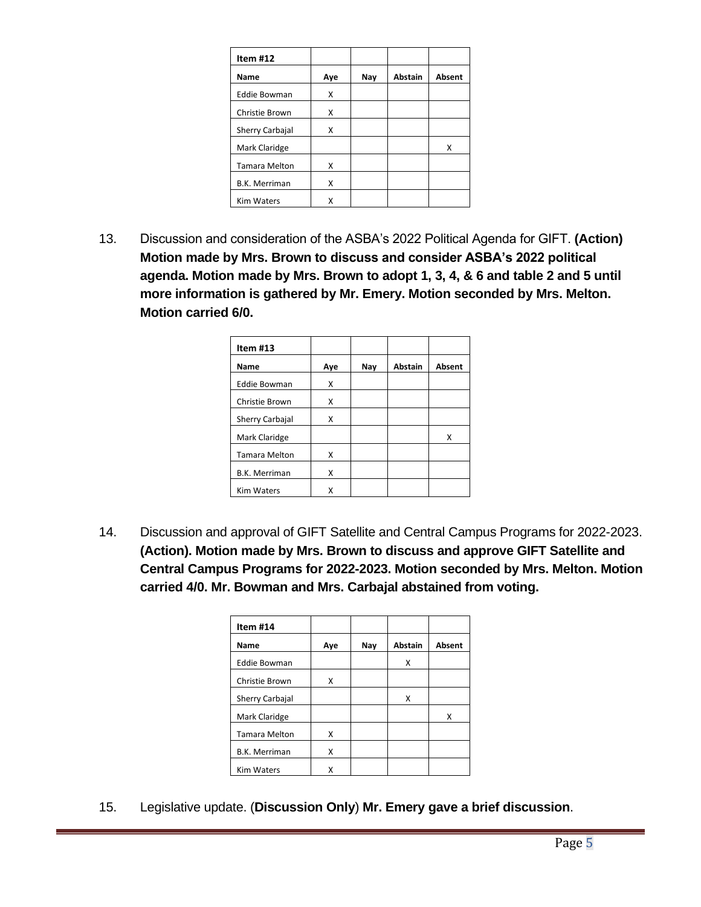| Item $#12$           |     |     |                |        |
|----------------------|-----|-----|----------------|--------|
| Name                 | Aye | Nay | <b>Abstain</b> | Absent |
| <b>Eddie Bowman</b>  | X   |     |                |        |
| Christie Brown       | Χ   |     |                |        |
| Sherry Carbajal      | Χ   |     |                |        |
| Mark Claridge        |     |     |                | x      |
| <b>Tamara Melton</b> | x   |     |                |        |
| <b>B.K. Merriman</b> | Χ   |     |                |        |
| <b>Kim Waters</b>    |     |     |                |        |

13. Discussion and consideration of the ASBA's 2022 Political Agenda for GIFT. **(Action) Motion made by Mrs. Brown to discuss and consider ASBA's 2022 political agenda. Motion made by Mrs. Brown to adopt 1, 3, 4, & 6 and table 2 and 5 until more information is gathered by Mr. Emery. Motion seconded by Mrs. Melton. Motion carried 6/0.**

| Item $#13$           |     |     |                |        |
|----------------------|-----|-----|----------------|--------|
| Name                 | Aye | Nay | <b>Abstain</b> | Absent |
| <b>Eddie Bowman</b>  | x   |     |                |        |
| Christie Brown       | x   |     |                |        |
| Sherry Carbajal      | x   |     |                |        |
| Mark Claridge        |     |     |                | x      |
| <b>Tamara Melton</b> | x   |     |                |        |
| <b>B.K. Merriman</b> | x   |     |                |        |
| <b>Kim Waters</b>    |     |     |                |        |

14. Discussion and approval of GIFT Satellite and Central Campus Programs for 2022-2023. **(Action). Motion made by Mrs. Brown to discuss and approve GIFT Satellite and Central Campus Programs for 2022-2023. Motion seconded by Mrs. Melton. Motion carried 4/0. Mr. Bowman and Mrs. Carbajal abstained from voting.**

| Item #14             |     |     |                |               |
|----------------------|-----|-----|----------------|---------------|
| Name                 | Aye | Nay | <b>Abstain</b> | <b>Absent</b> |
| <b>Eddie Bowman</b>  |     |     | x              |               |
| Christie Brown       | x   |     |                |               |
| Sherry Carbajal      |     |     | x              |               |
| Mark Claridge        |     |     |                | x             |
| <b>Tamara Melton</b> | x   |     |                |               |
| <b>B.K. Merriman</b> | x   |     |                |               |
| <b>Kim Waters</b>    | x   |     |                |               |

15. Legislative update. (**Discussion Only**) **Mr. Emery gave a brief discussion**.